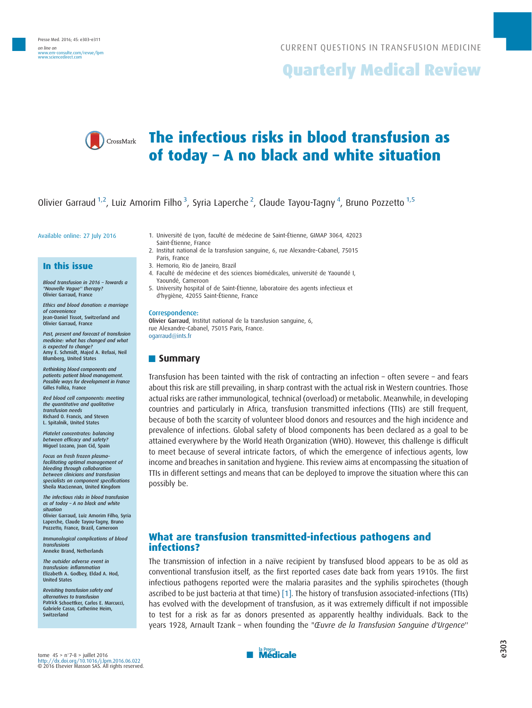# Quarterly Medical Review

# CrossMark

# The infectious risks in blood transfusion as of today – A no black and white situation

Olivier Garraud 1,2, Luiz Amorim Filho <sup>3</sup>, Syria Laperche <sup>2</sup>, Claude Tayou-Tagny <sup>4</sup>, Bruno Pozzetto <sup>1,5</sup>

Available online: 27 July 2016

#### In this issue

Blood transfusion in 2016 – Towards a "Nouvelle Vague'' therapy? Olivier Garraud, France

Ethics and blood donation: a marriage of convenience Jean-Daniel Tissot, Switzerland and Olivier Garraud, France

Past, present and forecast of transfusion medicine: what has changed and what is expected to change? Amy E. Schmidt, Majed A. Refaai, Neil Blumberg, United States

Rethinking blood components and patients: patient blood management. Possible ways for development in France Gilles Folléa, France

Red blood cell components: meeting the quantitative and qualitative transfusion needs Richard O. Francis, and Steven L. Spitalnik, United States

Platelet concentrates: balancing between efficacy and safety? Miguel Lozano, Joan Cid, Spain

Focus on fresh frozen plasma– facilitating optimal management of bleeding through collaboration between clinicians and transfusion specialists on component specifications Sheila MacLennan, United Kingdom

The infectious risks in blood transfusion as of today – A no black and white situation Olivier Garraud, Luiz Amorim Filho, Syria

Laperche, Claude Tayou-Tagny, Bruno Pozzetto, France, Brazil, Ca

Immunological complications of blood transfusions Anneke Brand, Netherlands

The outsider adverse event in transfusion: inflammation Elizabeth A. Godbey, Eldad A. Hod, United States

Revisiting transfusion safety and alternatives to transfusion Patrick Schoettker, Carlos E. Marcucci, Gabriele Casso, Catherine Heim, Switzerland

- 1. Université de Lyon, faculté de médecine de Saint-Étienne, GIMAP 3064, 42023 Saint-Étienne, France
- 2. Institut national de la transfusion sanguine, 6, rue Alexandre-Cabanel, 75015 Paris, France
- 3. Hemorio, Rio de Janeiro, Brazil
- 4. Faculté de médecine et des sciences biomédicales, université de Yaoundé I, Yaoundé, Cameroon
- 5. University hospital of de Saint-Étienne, laboratoire des agents infectieux et d'hygiène, 42055 Saint-Étienne, France

#### Correspondence:

Olivier Garraud, Institut national de la transfusion sanguine, 6, rue Alexandre-Cabanel, 75015 Paris, France. [ogarraud@ints.fr](mailto:ogarraud@ints.fr)

### **Summary**

Transfusion has been tainted with the risk of contracting an infection – often severe – and fears about this risk are still prevailing, in sharp contrast with the actual risk in Western countries. Those actual risks are rather immunological, technical (overload) or metabolic. Meanwhile, in developing countries and particularly in Africa, transfusion transmitted infections (TTIs) are still frequent, because of both the scarcity of volunteer blood donors and resources and the high incidence and prevalence of infections. Global safety of blood components has been declared as a goal to be attained everywhere by the World Heath Organization (WHO). However, this challenge is difficult to meet because of several intricate factors, of which the emergence of infectious agents, low income and breaches in sanitation and hygiene. This review aims at encompassing the situation of TTIs in different settings and means that can be deployed to improve the situation where this can possibly be.

## What are transfusion transmitted-infectious pathogens and infections?

The transmission of infection in a naïve recipient by transfused blood appears to be as old as conventional transfusion itself, as the first reported cases date back from years 1910s. The first infectious pathogens reported were the malaria parasites and the syphilis spirochetes (though ascribed to be just bacteria at that time) [\[1\]](#page-5-0). The history of transfusion associated-infections (TTIs) has evolved with the development of transfusion, as it was extremely difficult if not impossible to test for a risk as far as donors presented as apparently healthy individuals. Back to the years 1928, Arnault Tzank – when founding the "Œuvre de la Transfusion Sanguine d'Urgence''

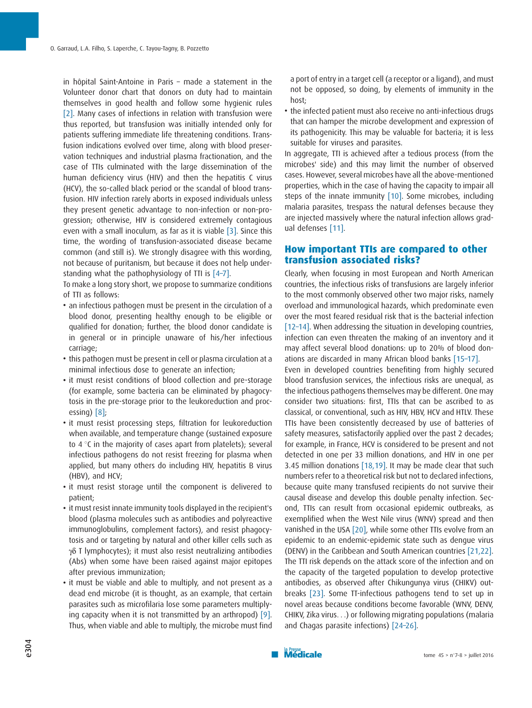in hôpital Saint-Antoine in Paris – made a statement in the Volunteer donor chart that donors on duty had to maintain themselves in good health and follow some hygienic rules [\[2\].](#page-5-0) Many cases of infections in relation with transfusion were thus reported, but transfusion was initially intended only for patients suffering immediate life threatening conditions. Transfusion indications evolved over time, along with blood preservation techniques and industrial plasma fractionation, and the case of TTIs culminated with the large dissemination of the human deficiency virus (HIV) and then the hepatitis C virus (HCV), the so-called black period or the scandal of blood transfusion. HIV infection rarely aborts in exposed individuals unless they present genetic advantage to non-infection or non-progression; otherwise, HIV is considered extremely contagious even with a small inoculum, as far as it is viable [\[3\].](#page-5-0) Since this time, the wording of transfusion-associated disease became common (and still is). We strongly disagree with this wording, not because of puritanism, but because it does not help understanding what the pathophysiology of TTI is [4–[7\].](#page-5-0)

To make a long story short, we propose to summarize conditions of TTI as follows:

- an infectious pathogen must be present in the circulation of a blood donor, presenting healthy enough to be eligible or qualified for donation; further, the blood donor candidate is in general or in principle unaware of his/her infectious carriage;
- this pathogen must be present in cell or plasma circulation at a minimal infectious dose to generate an infection;
- it must resist conditions of blood collection and pre-storage (for example, some bacteria can be eliminated by phagocytosis in the pre-storage prior to the leukoreduction and processing)  $[8]$ ;
- it must resist processing steps, filtration for leukoreduction when available, and temperature change (sustained exposure to  $4^{\circ}$ C in the majority of cases apart from platelets); several infectious pathogens do not resist freezing for plasma when applied, but many others do including HIV, hepatitis B virus (HBV), and HCV;
- it must resist storage until the component is delivered to patient;
- it must resist innate immunity tools displayed in the recipient's blood (plasma molecules such as antibodies and polyreactive immunoglobulins, complement factors), and resist phagocytosis and or targeting by natural and other killer cells such as  $\gamma$  $\delta$  T lymphocytes); it must also resist neutralizing antibodies (Abs) when some have been raised against major epitopes after previous immunization;
- it must be viable and able to multiply, and not present as a dead end microbe (it is thought, as an example, that certain parasites such as microfilaria lose some parameters multiplying capacity when it is not transmitted by an arthropod) [\[9\]](#page-6-0). Thus, when viable and able to multiply, the microbe must find

a port of entry in a target cell (a receptor or a ligand), and must not be opposed, so doing, by elements of immunity in the host;

 the infected patient must also receive no anti-infectious drugs that can hamper the microbe development and expression of its pathogenicity. This may be valuable for bacteria; it is less suitable for viruses and parasites.

In aggregate, TTI is achieved after a tedious process (from the microbes' side) and this may limit the number of observed cases. However, several microbes have all the above-mentioned properties, which in the case of having the capacity to impair all steps of the innate immunity [\[10\].](#page-6-0) Some microbes, including malaria parasites, trespass the natural defenses because they are injected massively where the natural infection allows gradual defenses [\[11\].](#page-6-0)

#### How important TTIs are compared to other transfusion associated risks?

Clearly, when focusing in most European and North American countries, the infectious risks of transfusions are largely inferior to the most commonly observed other two major risks, namely overload and immunological hazards, which predominate even over the most feared residual risk that is the bacterial infection [\[12](#page-6-0)–14]. When addressing the situation in developing countries, infection can even threaten the making of an inventory and it may affect several blood donations: up to 20% of blood donations are discarded in many African blood banks [\[15](#page-6-0)–17].

Even in developed countries benefiting from highly secured blood transfusion services, the infectious risks are unequal, as the infectious pathogens themselves may be different. One may consider two situations: first, TTIs that can be ascribed to as classical, or conventional, such as HIV, HBV, HCV and HTLV. These TTIs have been consistently decreased by use of batteries of safety measures, satisfactorily applied over the past 2 decades; for example, in France, HCV is considered to be present and not detected in one per 33 million donations, and HIV in one per 3.45 million donations [\[18,19\].](#page-6-0) It may be made clear that such numbers refer to a theoretical risk but not to declared infections, because quite many transfused recipients do not survive their causal disease and develop this double penalty infection. Second, TTIs can result from occasional epidemic outbreaks, as exemplified when the West Nile virus (WNV) spread and then vanished in the USA [\[20\],](#page-6-0) while some other TTIs evolve from an epidemic to an endemic-epidemic state such as dengue virus (DENV) in the Caribbean and South American countries [\[21,22\].](#page-6-0) The TTI risk depends on the attack score of the infection and on the capacity of the targeted population to develop protective antibodies, as observed after Chikungunya virus (CHIKV) outbreaks [\[23\]](#page-6-0). Some TT-infectious pathogens tend to set up in novel areas because conditions become favorable (WNV, DENV, CHIKV, Zika virus. . .) or following migrating populations (malaria and Chagas parasite infections) [\[24](#page-6-0)–26].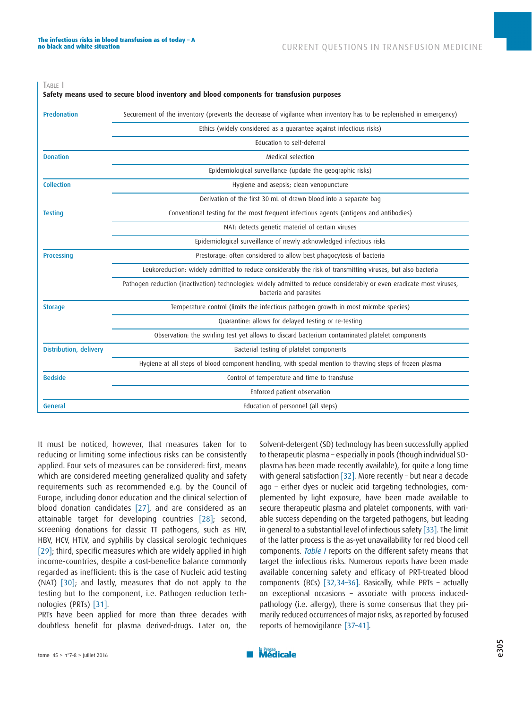| <b>Predonation</b>            | Securement of the inventory (prevents the decrease of vigilance when inventory has to be replenished in emergency)<br>Ethics (widely considered as a guarantee against infectious risks) |  |  |
|-------------------------------|------------------------------------------------------------------------------------------------------------------------------------------------------------------------------------------|--|--|
|                               |                                                                                                                                                                                          |  |  |
|                               | Education to self-deferral                                                                                                                                                               |  |  |
| <b>Donation</b>               | Medical selection                                                                                                                                                                        |  |  |
|                               | Epidemiological surveillance (update the geographic risks)                                                                                                                               |  |  |
| <b>Collection</b>             | Hygiene and asepsis; clean venopuncture                                                                                                                                                  |  |  |
|                               | Derivation of the first 30 mL of drawn blood into a separate bag                                                                                                                         |  |  |
| <b>Testing</b>                | Conventional testing for the most frequent infectious agents (antigens and antibodies)                                                                                                   |  |  |
|                               | NAT: detects genetic materiel of certain viruses                                                                                                                                         |  |  |
|                               | Epidemiological surveillance of newly acknowledged infectious risks                                                                                                                      |  |  |
| <b>Processing</b>             | Prestorage: often considered to allow best phagocytosis of bacteria                                                                                                                      |  |  |
|                               | Leukoreduction: widely admitted to reduce considerably the risk of transmitting viruses, but also bacteria                                                                               |  |  |
|                               | Pathogen reduction (inactivation) technologies: widely admitted to reduce considerably or even eradicate most viruses,<br>bacteria and parasites                                         |  |  |
| <b>Storage</b>                | Temperature control (limits the infectious pathogen growth in most microbe species)                                                                                                      |  |  |
|                               | Quarantine: allows for delayed testing or re-testing                                                                                                                                     |  |  |
|                               | Observation: the swirling test yet allows to discard bacterium contaminated platelet components                                                                                          |  |  |
| <b>Distribution, delivery</b> | Bacterial testing of platelet components                                                                                                                                                 |  |  |
|                               | Hygiene at all steps of blood component handling, with special mention to thawing steps of frozen plasma                                                                                 |  |  |
| <b>Bedside</b>                | Control of temperature and time to transfuse                                                                                                                                             |  |  |
|                               | Enforced patient observation                                                                                                                                                             |  |  |
| General                       | Education of personnel (all steps)                                                                                                                                                       |  |  |

TABLE I

It must be noticed, however, that measures taken for to reducing or limiting some infectious risks can be consistently applied. Four sets of measures can be considered: first, means which are considered meeting generalized quality and safety requirements such as recommended e.g. by the Council of Europe, including donor education and the clinical selection of blood donation candidates [\[27\]](#page-6-0), and are considered as an attainable target for developing countries [\[28\];](#page-6-0) second, screening donations for classic TT pathogens, such as HIV, HBV, HCV, HTLV, and syphilis by classical serologic techniques [\[29\]](#page-6-0); third, specific measures which are widely applied in high income-countries, despite a cost-benefice balance commonly regarded as inefficient: this is the case of Nucleic acid testing (NAT) [\[30\];](#page-6-0) and lastly, measures that do not apply to the testing but to the component, i.e. Pathogen reduction technologies (PRTs) [\[31\].](#page-6-0)

PRTs have been applied for more than three decades with doubtless benefit for plasma derived-drugs. Later on, the

Solvent-detergent (SD) technology has been successfully applied to therapeutic plasma – especially in pools(though individual SDplasma has been made recently available), for quite a long time with general satisfaction [\[32\].](#page-6-0) More recently - but near a decade ago – either dyes or nucleic acid targeting technologies, complemented by light exposure, have been made available to secure therapeutic plasma and platelet components, with variable success depending on the targeted pathogens, but leading in general to a substantial level of infectious safety  $[33]$ . The limit of the latter process is the as-yet unavailability for red blood cell components. Table I reports on the different safety means that target the infectious risks. Numerous reports have been made available concerning safety and efficacy of PRT-treated blood components (BCs) [\[32,34](#page-6-0)–36]. Basically, while PRTs – actually on exceptional occasions – associate with process inducedpathology (i.e. allergy), there is some consensus that they primarily reduced occurrences of major risks, as reported by focused reports of hemovigilance [37–[41\]](#page-6-0).

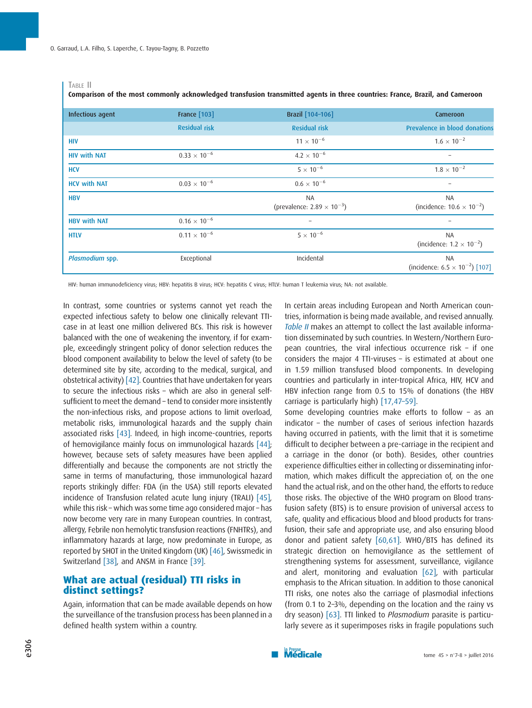| the contract of the contract of the |  |
|-------------------------------------|--|
|                                     |  |

Comparison of the most commonly acknowledged transfusion transmitted agents in three countries: France, Brazil, and Cameroon

| Infectious agent    | <b>France</b> [103]   | Brazil [104-106]                                  | Cameroon                                              |
|---------------------|-----------------------|---------------------------------------------------|-------------------------------------------------------|
|                     | <b>Residual risk</b>  | <b>Residual risk</b>                              | Prevalence in blood donations                         |
| <b>HIV</b>          |                       | $11 \times 10^{-6}$                               | $1.6 \times 10^{-2}$                                  |
| <b>HIV with NAT</b> | $0.33 \times 10^{-6}$ | $4.2 \times 10^{-6}$                              | $\overline{\phantom{0}}$                              |
| <b>HCV</b>          |                       | $5 \times 10^{-6}$                                | $1.8 \times 10^{-2}$                                  |
| <b>HCV with NAT</b> | $0.03 \times 10^{-6}$ | $0.6 \times 10^{-6}$                              | $\overline{\phantom{0}}$                              |
| <b>HBV</b>          |                       | <b>NA</b><br>(prevalence: $2.89 \times 10^{-3}$ ) | <b>NA</b><br>(incidence: $10.6 \times 10^{-2}$ )      |
| <b>HBV with NAT</b> | $0.16 \times 10^{-6}$ |                                                   |                                                       |
| <b>HTLV</b>         | $0.11\times10^{-6}$   | $5 \times 10^{-6}$                                | <b>NA</b><br>(incidence: $1.2 \times 10^{-2}$ )       |
| Plasmodium spp.     | Exceptional           | Incidental                                        | <b>NA</b><br>(incidence: $6.5 \times 10^{-2}$ ) [107] |

HIV: human immunodeficiency virus; HBV: hepatitis B virus; HCV: hepatitis C virus; HTLV: human T leukemia virus; NA: not available.

In contrast, some countries or systems cannot yet reach the expected infectious safety to below one clinically relevant TTIcase in at least one million delivered BCs. This risk is however balanced with the one of weakening the inventory, if for example, exceedingly stringent policy of donor selection reduces the blood component availability to below the level of safety (to be determined site by site, according to the medical, surgical, and obstetrical activity) [\[42\].](#page-6-0) Countries that have undertaken for years to secure the infectious risks – which are also in general selfsufficient to meet the demand – tend to consider more insistently the non-infectious risks, and propose actions to limit overload, metabolic risks, immunological hazards and the supply chain associated risks [\[43\].](#page-6-0) Indeed, in high income-countries, reports of hemovigilance mainly focus on immunological hazards [\[44\]](#page-6-0); however, because sets of safety measures have been applied differentially and because the components are not strictly the same in terms of manufacturing, those immunological hazard reports strikingly differ: FDA (in the USA) still reports elevated incidence of Transfusion related acute lung injury (TRALI) [\[45\]](#page-6-0), while this risk - which was some time ago considered major - has now become very rare in many European countries. In contrast, allergy, Febrile non hemolytic transfusion reactions (FNHTRs), and inflammatory hazards at large, now predominate in Europe, as reported by SHOT in the United Kingdom (UK) [\[46\],](#page-6-0) Swissmedic in Switzerland [\[38\],](#page-6-0) and ANSM in France [\[39\]](#page-6-0).

#### What are actual (residual) TTI risks in distinct settings?

Again, information that can be made available depends on how the surveillance of the transfusion process has been planned in a defined health system within a country.

In certain areas including European and North American countries, information is being made available, and revised annually. Table II makes an attempt to collect the last available information disseminated by such countries. In Western/Northern European countries, the viral infectious occurrence risk – if one considers the major 4 TTI-viruses – is estimated at about one in 1.59 million transfused blood components. In developing countries and particularly in inter-tropical Africa, HIV, HCV and HBV infection range from 0.5 to 15% of donations (the HBV carriage is particularly high) [\[17,47](#page-6-0)–59].

Some developing countries make efforts to follow – as an indicator – the number of cases of serious infection hazards having occurred in patients, with the limit that it is sometime difficult to decipher between a pre-carriage in the recipient and a carriage in the donor (or both). Besides, other countries experience difficulties either in collecting or disseminating information, which makes difficult the appreciation of, on the one hand the actual risk, and on the other hand, the efforts to reduce those risks. The objective of the WHO program on Blood transfusion safety (BTS) is to ensure provision of universal access to safe, quality and efficacious blood and blood products for transfusion, their safe and appropriate use, and also ensuring blood donor and patient safety [\[60,61\]](#page-7-0). WHO/BTS has defined its strategic direction on hemovigilance as the settlement of strengthening systems for assessment, surveillance, vigilance and alert, monitoring and evaluation [\[62\]](#page-7-0), with particular emphasis to the African situation. In addition to those canonical TTI risks, one notes also the carriage of plasmodial infections (from 0.1 to 2–3%, depending on the location and the rainy vs dry season) [\[63\].](#page-7-0) TTI linked to Plasmodium parasite is particularly severe as it superimposes risks in fragile populations such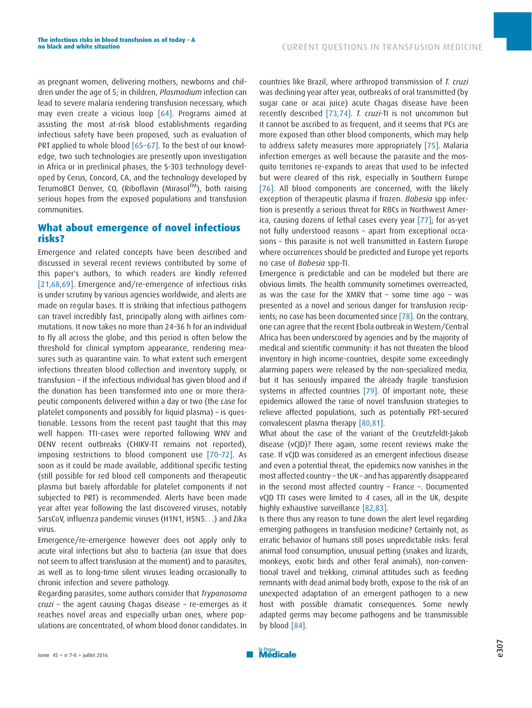as pregnant women, delivering mothers, newborns and children under the age of 5: in children, *Plasmodium* infection can lead to severe malaria rendering transfusion necessary, which may even create a vicious loop [\[64\].](#page-7-0) Programs aimed at assisting the most at-risk blood establishments regarding infectious safety have been proposed, such as evaluation of PRT applied to whole blood [65-[67\]](#page-7-0). To the best of our knowledge, two such technologies are presently upon investigation in Africa or in preclinical phases, the S-303 technology developed by Cerus, Concord, CA, and the technology developed by TerumoBCT Denver, CO, (Riboflavin (Mirasol™), both raising serious hopes from the exposed populations and transfusion communities.

## What about emergence of novel infectious risks?

Emergence and related concepts have been described and discussed in several recent reviews contributed by some of this paper's authors, to which readers are kindly referred [\[21,68,69\].](#page-6-0) Emergence and/re-emergence of infectious risks is under scrutiny by various agencies worldwide, and alerts are made on regular bases. It is striking that infectious pathogens can travel incredibly fast, principally along with airlines commutations. It now takes no more than 24–36 h for an individual to fly all across the globe, and this period is often below the threshold for clinical symptom appearance, rendering measures such as quarantine vain. To what extent such emergent infections threaten blood collection and inventory supply, or transfusion – if the infectious individual has given blood and if the donation has been transformed into one or more therapeutic components delivered within a day or two (the case for platelet components and possibly for liquid plasma) – is questionable. Lessons from the recent past taught that this may well happen: TTI-cases were reported following WNV and DENV recent outbreaks (CHIKV-TT remains not reported), imposing restrictions to blood component use [70–[72\].](#page-7-0) As soon as it could be made available, additional specific testing (still possible for red blood cell components and therapeutic plasma but barely affordable for platelet components if not subjected to PRT) is recommended. Alerts have been made year after year following the last discovered viruses, notably SarsCoV, influenza pandemic viruses (H1N1, H5N5. . .) and Zika virus.

Emergence/re-emergence however does not apply only to acute viral infections but also to bacteria (an issue that does not seem to affect transfusion at the moment) and to parasites, as well as to long-time silent viruses leading occasionally to chronic infection and severe pathology.

Regarding parasites, some authors consider that Trypanosoma cruzi – the agent causing Chagas disease – re-emerges as it reaches novel areas and especially urban ones, where populations are concentrated, of whom blood donor candidates. In countries like Brazil, where arthropod transmission of T. cruzi was declining year after year, outbreaks of oral transmitted (by sugar cane or acai juice) acute Chagas disease have been recently described [\[73,74\].](#page-7-0) T. cruzi-TI is not uncommon but it cannot be ascribed to as frequent, and it seems that PCs are more exposed than other blood components, which may help to address safety measures more appropriately [\[75\]](#page-7-0). Malaria infection emerges as well because the parasite and the mosquito territories re-expands to areas that used to be infected but were cleared of this risk, especially in Southern Europe [\[76\]](#page-7-0). All blood components are concerned, with the likely exception of therapeutic plasma if frozen. Babesia spp infection is presently a serious threat for RBCs in Northwest America, causing dozens of lethal cases every year [\[77\]](#page-7-0); for as-yet not fully understood reasons – apart from exceptional occasions – this parasite is not well transmitted in Eastern Europe where occurrences should be predicted and Europe yet reports no case of Babesia spp-TI.

Emergence is predictable and can be modeled but there are obvious limits. The health community sometimes overreacted, as was the case for the XMRV that – some time ago – was presented as a novel and serious danger for transfusion recipients; no case has been documented since [\[78\]](#page-7-0). On the contrary, one can agree that the recent Ebola outbreak in Western/Central Africa has been underscored by agencies and by the majority of medical and scientific community: it has not threaten the blood inventory in high income-countries, despite some exceedingly alarming papers were released by the non-specialized media, but it has seriously impaired the already fragile transfusion systems in affected countries [\[79\]](#page-7-0). Of important note, these epidemics allowed the raise of novel transfusion strategies to relieve affected populations, such as potentially PRT-secured convalescent plasma therapy [\[80,81\].](#page-7-0)

What about the case of the variant of the Creutzfeldt-Jakob disease (vCJD)? There again, some recent reviews make the case. If vCJD was considered as an emergent infectious disease and even a potential threat, the epidemics now vanishes in the most affected country – the UK– and has apparently disappeared in the second most affected country – France –. Documented vCJD TTI cases were limited to 4 cases, all in the UK, despite highly exhaustive surveillance [\[82,83\].](#page-7-0)

Is there thus any reason to tune down the alert level regarding emerging pathogens in transfusion medicine? Certainly not, as erratic behavior of humans still poses unpredictable risks: feral animal food consumption, unusual petting (snakes and lizards, monkeys, exotic birds and other feral animals), non-conventional travel and trekking, criminal attitudes such as feeding remnants with dead animal body broth, expose to the risk of an unexpected adaptation of an emergent pathogen to a new host with possible dramatic consequences. Some newly adapted germs may become pathogens and be transmissible by blood  $[84]$ .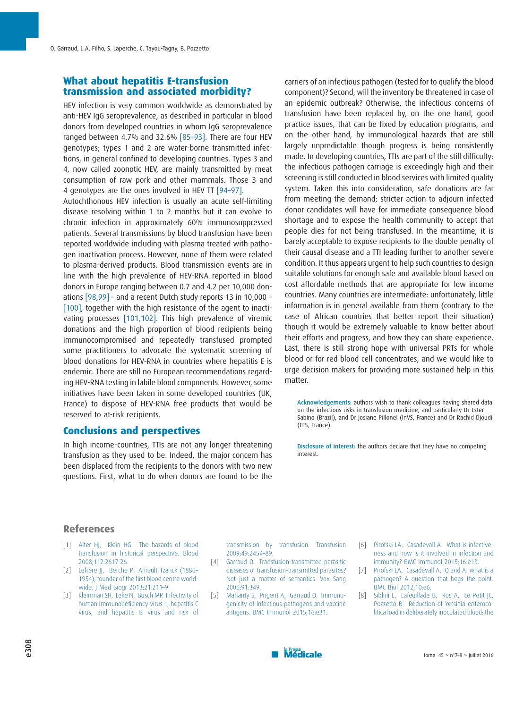### <span id="page-5-0"></span>What about hepatitis E-transfusion transmission and associated morbidity?

HEV infection is very common worldwide as demonstrated by anti-HEV IgG seroprevalence, as described in particular in blood donors from developed countries in whom IgG seroprevalence ranged between 4.7% and 32.6% [85–[93\].](#page-7-0) There are four HEV genotypes; types 1 and 2 are water-borne transmitted infections, in general confined to developing countries. Types 3 and 4, now called zoonotic HEV, are mainly transmitted by meat consumption of raw pork and other mammals. Those 3 and 4 genotypes are the ones involved in HEV TT [94–[97\].](#page-8-0)

Autochthonous HEV infection is usually an acute self-limiting disease resolving within 1 to 2 months but it can evolve to chronic infection in approximately 60% immunosuppressed patients. Several transmissions by blood transfusion have been reported worldwide including with plasma treated with pathogen inactivation process. However, none of them were related to plasma-derived products. Blood transmission events are in line with the high prevalence of HEV-RNA reported in blood donors in Europe ranging between 0.7 and 4.2 per 10,000 donations [\[98,99\]](#page-8-0) – and a recent Dutch study reports 13 in 10,000 – [\[100\],](#page-8-0) together with the high resistance of the agent to inactivating processes [\[101,102\].](#page-8-0) This high prevalence of viremic donations and the high proportion of blood recipients being immunocompromised and repeatedly transfused prompted some practitioners to advocate the systematic screening of blood donations for HEV-RNA in countries where hepatitis E is endemic. There are still no European recommendations regarding HEV-RNA testing in labile blood components. However, some initiatives have been taken in some developed countries (UK, France) to dispose of HEV-RNA free products that would be reserved to at-risk recipients.

#### Conclusions and perspectives

In high income-countries, TTIs are not any longer threatening transfusion as they used to be. Indeed, the major concern has been displaced from the recipients to the donors with two new questions. First, what to do when donors are found to be the

carriers of an infectious pathogen (tested for to qualify the blood component)? Second, will the inventory be threatened in case of an epidemic outbreak? Otherwise, the infectious concerns of transfusion have been replaced by, on the one hand, good practice issues, that can be fixed by education programs, and on the other hand, by immunological hazards that are still largely unpredictable though progress is being consistently made. In developing countries, TTIs are part of the still difficulty: the infectious pathogen carriage is exceedingly high and their screening is still conducted in blood services with limited quality system. Taken this into consideration, safe donations are far from meeting the demand; stricter action to adjourn infected donor candidates will have for immediate consequence blood shortage and to expose the health community to accept that people dies for not being transfused. In the meantime, it is barely acceptable to expose recipients to the double penalty of their causal disease and a TTI leading further to another severe condition. It thus appears urgent to help such countries to design suitable solutions for enough safe and available blood based on cost affordable methods that are appropriate for low income countries. Many countries are intermediate: unfortunately, little information is in general available from them (contrary to the case of African countries that better report their situation) though it would be extremely valuable to know better about their efforts and progress, and how they can share experience. Last, there is still strong hope with universal PRTs for whole blood or for red blood cell concentrates, and we would like to urge decision makers for providing more sustained help in this matter.

Acknowledgements: authors wish to thank colleagues having shared data on the infectious risks in transfusion medicine, and particularly Dr Ester Sabino (Brazil), and Dr Josiane Pillonel (InVS, France) and Dr Rachid Djoudi (EFS, France).

Disclosure of interest: the authors declare that they have no competing interest.

#### References

- [1] Alter HJ, Klein HG. The [hazards](http://refhub.elsevier.com/S0755-4982(16)30171-3/sbref0005) of blood transfusion in historical [perspective.](http://refhub.elsevier.com/S0755-4982(16)30171-3/sbref0005) Blood [2008;112:2617](http://refhub.elsevier.com/S0755-4982(16)30171-3/sbref0005)–26.
- [2] Lefrère JJ, Berche P. [Arnault](http://refhub.elsevier.com/S0755-4982(16)30171-3/sbref0010) Tzanck (1886– 1954), [founder](http://refhub.elsevier.com/S0755-4982(16)30171-3/sbref0010) of the first blood centre worldwide. J Med Biogr [2013;21:211](http://refhub.elsevier.com/S0755-4982(16)30171-3/sbref0010)–9.
- [3] Kleinman SH, Lelie N, Busch MP. [Infectivity](http://refhub.elsevier.com/S0755-4982(16)30171-3/sbref0015) of human [immunodeficiency](http://refhub.elsevier.com/S0755-4982(16)30171-3/sbref0015) virus-1, hepatitis C virus, and [hepatitis](http://refhub.elsevier.com/S0755-4982(16)30171-3/sbref0015) B virus and risk of

[transmission](http://refhub.elsevier.com/S0755-4982(16)30171-3/sbref0015) by transfusion. Transfusion [2009;49:2454](http://refhub.elsevier.com/S0755-4982(16)30171-3/sbref0015)–89.

- [4] Garraud O. [Transfusion-transmitted](http://refhub.elsevier.com/S0755-4982(16)30171-3/sbref0020) parasitic diseases or [transfusion-transmitted](http://refhub.elsevier.com/S0755-4982(16)30171-3/sbref0020) parasites? Not just a matter of [semantics.](http://refhub.elsevier.com/S0755-4982(16)30171-3/sbref0020) Vox Sang [2006;91:349.](http://refhub.elsevier.com/S0755-4982(16)30171-3/sbref0020)
- [5] Mahanty S, Prigent A, Garraud O. [Immuno](http://refhub.elsevier.com/S0755-4982(16)30171-3/sbref0025)genicity of infectious [pathogens](http://refhub.elsevier.com/S0755-4982(16)30171-3/sbref0025) and vaccine antigens. BMC Immunol [2015;16:e31](http://refhub.elsevier.com/S0755-4982(16)30171-3/sbref0025).
- [6] Pirofski LA, [Casadevall](http://refhub.elsevier.com/S0755-4982(16)30171-3/sbref0030) A. What is infectiveness and how is it involved in [infection](http://refhub.elsevier.com/S0755-4982(16)30171-3/sbref0030) and immunity? BMC Immunol [2015;16:e13.](http://refhub.elsevier.com/S0755-4982(16)30171-3/sbref0030)
- [7] Pirofski LA, [Casadevall](http://refhub.elsevier.com/S0755-4982(16)30171-3/sbref0035) A. Q and A: what is a [pathogen?](http://refhub.elsevier.com/S0755-4982(16)30171-3/sbref0035) A question that begs the point. BMC Biol [2012;10:e6](http://refhub.elsevier.com/S0755-4982(16)30171-3/sbref0035).
- [8] Siblini L, [Lafeuillade](http://refhub.elsevier.com/S0755-4982(16)30171-3/sbref0040) B, Ros A, Le Petit JC, Pozzetto B. [Reduction](http://refhub.elsevier.com/S0755-4982(16)30171-3/sbref0040) of Yersinia enterocolitica load in [deliberately](http://refhub.elsevier.com/S0755-4982(16)30171-3/sbref0040) inoculated blood: the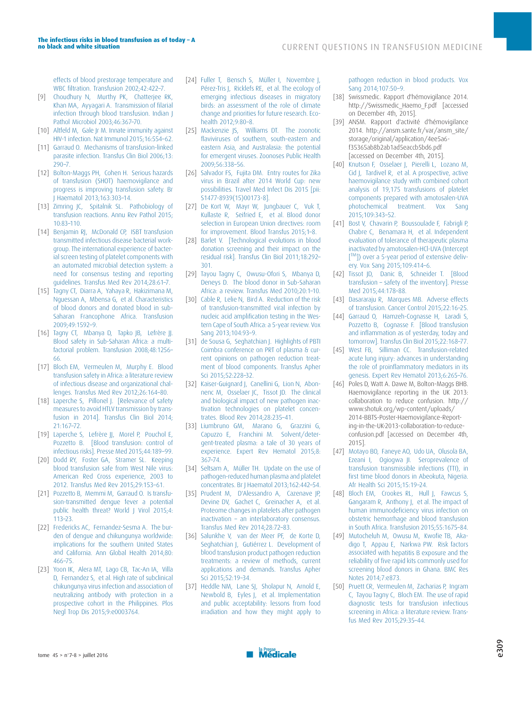<span id="page-6-0"></span>effects of blood prestorage [temperature](http://refhub.elsevier.com/S0755-4982(16)30171-3/sbref0040) and WBC filtration. Transfusion [2002;42:422](http://refhub.elsevier.com/S0755-4982(16)30171-3/sbref0040)–7.

- [9] [Choudhury](http://refhub.elsevier.com/S0755-4982(16)30171-3/sbref0045) N, Murthy PK, Chatterjee RK, Khan MA, Ayyagari A. [Transmission](http://refhub.elsevier.com/S0755-4982(16)30171-3/sbref0045) of filarial infection through blood [transfusion.](http://refhub.elsevier.com/S0755-4982(16)30171-3/sbref0045) Indian J Pathol Microbiol [2003;46:367](http://refhub.elsevier.com/S0755-4982(16)30171-3/sbref0045)–70.
- [10] Altfeld M, Gale Jr M. Innate [immunity](http://refhub.elsevier.com/S0755-4982(16)30171-3/sbref0050) against HIV-1 infection. Nat Immunol [2015;16:554](http://refhub.elsevier.com/S0755-4982(16)30171-3/sbref0050)–62.
- [11] Garraud O. Mechanisms of [transfusion-linked](http://refhub.elsevier.com/S0755-4982(16)30171-3/sbref0055) parasite [infection.](http://refhub.elsevier.com/S0755-4982(16)30171-3/sbref0055) Transfus Clin Biol 2006;13: [290](http://refhub.elsevier.com/S0755-4982(16)30171-3/sbref0055)–7.
- [12] [Bolton-Maggs](http://refhub.elsevier.com/S0755-4982(16)30171-3/sbref0060) PH, Cohen H. Serious hazards of transfusion (SHOT) [haemovigilance](http://refhub.elsevier.com/S0755-4982(16)30171-3/sbref0060) and progress is improving [transfusion](http://refhub.elsevier.com/S0755-4982(16)30171-3/sbref0060) safety. Br J Haematol [2013;163:303](http://refhub.elsevier.com/S0755-4982(16)30171-3/sbref0060)–14.
- [13] Zimring JC, Spitalnik SL. [Pathobiology](http://refhub.elsevier.com/S0755-4982(16)30171-3/sbref0065) of [transfusion](http://refhub.elsevier.com/S0755-4982(16)30171-3/sbref0065) reactions. Annu Rev Pathol 2015; [10:83](http://refhub.elsevier.com/S0755-4982(16)30171-3/sbref0065)–110.
- [14] Benjamin RJ, McDonald CP, ISBT [transfusion](http://refhub.elsevier.com/S0755-4982(16)30171-3/sbref0070) [transmitted](http://refhub.elsevier.com/S0755-4982(16)30171-3/sbref0070) infectious disease bacterial workgroup. The [international](http://refhub.elsevier.com/S0755-4982(16)30171-3/sbref0070) experience of bacterial screen testing of platelet [components](http://refhub.elsevier.com/S0755-4982(16)30171-3/sbref0070) with an [automated](http://refhub.elsevier.com/S0755-4982(16)30171-3/sbref0070) microbial detection system: a need for [consensus](http://refhub.elsevier.com/S0755-4982(16)30171-3/sbref0070) testing and reporting guidelines. Transfus Med Rev [2014;28:61](http://refhub.elsevier.com/S0755-4982(16)30171-3/sbref0070)–7.
- [15] Tagny CT, Diarra A, Yahaya R, [Hakizimana](http://refhub.elsevier.com/S0755-4982(16)30171-3/sbref0075) M, Nguessan A, Mbensa G, et al. [Characteristics](http://refhub.elsevier.com/S0755-4982(16)30171-3/sbref0075) of blood donors and [donated](http://refhub.elsevier.com/S0755-4982(16)30171-3/sbref0075) blood in sub-Saharan [Francophone](http://refhub.elsevier.com/S0755-4982(16)30171-3/sbref0075) Africa. Transfusion [2009;49:1592](http://refhub.elsevier.com/S0755-4982(16)30171-3/sbref0075)–9.
- [16] Tagny CT, [Mbanya](http://refhub.elsevier.com/S0755-4982(16)30171-3/sbref0080) D, Tapko JB, Lefrère JJ. Blood safety in [Sub-Saharan](http://refhub.elsevier.com/S0755-4982(16)30171-3/sbref0080) Africa: a multifactorial problem. Transfusion [2008;48:1256](http://refhub.elsevier.com/S0755-4982(16)30171-3/sbref0080)– [66.](http://refhub.elsevier.com/S0755-4982(16)30171-3/sbref0080)
- [17] Bloch EM, [Vermeulen](http://refhub.elsevier.com/S0755-4982(16)30171-3/sbref0085) M, Murphy E. Blood [transfusion](http://refhub.elsevier.com/S0755-4982(16)30171-3/sbref0085) safety in Africa: a literature review of infectious disease and [organizational](http://refhub.elsevier.com/S0755-4982(16)30171-3/sbref0085) challenges. Transfus Med Rev [2012;26:164](http://refhub.elsevier.com/S0755-4982(16)30171-3/sbref0085)–80.
- [18] Laperche S, Pillonel J. [\[Relevance](http://refhub.elsevier.com/S0755-4982(16)30171-3/sbref0090) of safety measuresto avoid HTLV [transmission](http://refhub.elsevier.com/S0755-4982(16)30171-3/sbref0090) by transfusion in 2014]. [Transfus](http://refhub.elsevier.com/S0755-4982(16)30171-3/sbref0090) Clin Biol 2014; [21:167](http://refhub.elsevier.com/S0755-4982(16)30171-3/sbref0090)–72.
- [19] [Laperche](http://refhub.elsevier.com/S0755-4982(16)30171-3/sbref0095) S, Lefrère JJ, Morel P, Pouchol E, Pozzetto B. [Blood [transfusion:](http://refhub.elsevier.com/S0755-4982(16)30171-3/sbref0095) control of infectious risks]. Presse Med [2015;44:189](http://refhub.elsevier.com/S0755-4982(16)30171-3/sbref0095)–99.
- [20] Dodd RY, Foster GA, Stramer SL. [Keeping](http://refhub.elsevier.com/S0755-4982(16)30171-3/sbref0100) blood [transfusion](http://refhub.elsevier.com/S0755-4982(16)30171-3/sbref0100) safe from West Nile virus: American Red Cross [experience,](http://refhub.elsevier.com/S0755-4982(16)30171-3/sbref0100) 2003 to 2012. Transfus Med Rev [2015;29:153](http://refhub.elsevier.com/S0755-4982(16)30171-3/sbref0100)–61.
- [21] [Pozzetto](http://refhub.elsevier.com/S0755-4982(16)30171-3/sbref0105) B, Memmi M, Garraud O. Is transfu[sion-transmitted](http://refhub.elsevier.com/S0755-4982(16)30171-3/sbref0105) dengue fever a potential public health threat? World J Virol [2015;4:](http://refhub.elsevier.com/S0755-4982(16)30171-3/sbref0105) [113](http://refhub.elsevier.com/S0755-4982(16)30171-3/sbref0105)–23.
- [22] Fredericks AC, [Fernandez-Sesma](http://refhub.elsevier.com/S0755-4982(16)30171-3/sbref0110) A. The burden of dengue and [chikungunya](http://refhub.elsevier.com/S0755-4982(16)30171-3/sbref0110) worldwide: [implications](http://refhub.elsevier.com/S0755-4982(16)30171-3/sbref0110) for the southern United States and [California.](http://refhub.elsevier.com/S0755-4982(16)30171-3/sbref0110) Ann Global Health 2014;80: [466](http://refhub.elsevier.com/S0755-4982(16)30171-3/sbref0110)–75.
- [23] Yoon IK, Alera MT, Lago CB, [Tac-An](http://refhub.elsevier.com/S0755-4982(16)30171-3/sbref0115) IA, Villa D, [Fernandez](http://refhub.elsevier.com/S0755-4982(16)30171-3/sbref0115) S, et al. High rate of subclinical [chikungunya](http://refhub.elsevier.com/S0755-4982(16)30171-3/sbref0115) virus infection and association of [neutralizing](http://refhub.elsevier.com/S0755-4982(16)30171-3/sbref0115) antibody with protection in a [prospective](http://refhub.elsevier.com/S0755-4982(16)30171-3/sbref0115) cohort in the Philippines. Plos Negl Trop Dis [2015;9:e0003764.](http://refhub.elsevier.com/S0755-4982(16)30171-3/sbref0115)
- [24] Fuller T, Bensch S, Müller I, [Novembre](http://refhub.elsevier.com/S0755-4982(16)30171-3/sbref0120) J, [Pérez-Tris](http://refhub.elsevier.com/S0755-4982(16)30171-3/sbref0120) J, Ricklefs RE, et al. The ecology of emerging infectious diseases in [migratory](http://refhub.elsevier.com/S0755-4982(16)30171-3/sbref0120) birds: an [assessment](http://refhub.elsevier.com/S0755-4982(16)30171-3/sbref0120) of the role of climate change and priorities for future [research.](http://refhub.elsevier.com/S0755-4982(16)30171-3/sbref0120) Ecohealth [2012;9:80](http://refhub.elsevier.com/S0755-4982(16)30171-3/sbref0120)–8.
- [25] [Mackenzie](http://refhub.elsevier.com/S0755-4982(16)30171-3/sbref0125) JS, Williams DT. The zoonotic flaviviruses of southern, [south-eastern](http://refhub.elsevier.com/S0755-4982(16)30171-3/sbref0125) and eastern Asia, and [Australasia:](http://refhub.elsevier.com/S0755-4982(16)30171-3/sbref0125) the potential for [emergent](http://refhub.elsevier.com/S0755-4982(16)30171-3/sbref0125) viruses. Zoonoses Public Health [2009;56:338](http://refhub.elsevier.com/S0755-4982(16)30171-3/sbref0125)–56.
- [26] [Salvador](http://refhub.elsevier.com/S0755-4982(16)30171-3/sbref0130) FS, Fujita DM. Entry routes for Zika virus in Brazil after 2014 [World](http://refhub.elsevier.com/S0755-4982(16)30171-3/sbref0130) Cup: new [possibilities.](http://refhub.elsevier.com/S0755-4982(16)30171-3/sbref0130) Travel Med Infect Dis 2015 [pii: [S1477-8939\(15\)00173-8\]](http://refhub.elsevier.com/S0755-4982(16)30171-3/sbref0130).
- [27] De Kort W, Mayr W, [Jungbauer](http://refhub.elsevier.com/S0755-4982(16)30171-3/sbref0135) C, Vuk T, [Kullaste](http://refhub.elsevier.com/S0755-4982(16)30171-3/sbref0135) R, Seifried E, et al. Blood donor selection in European Union [directives:](http://refhub.elsevier.com/S0755-4982(16)30171-3/sbref0135) room for [improvement.](http://refhub.elsevier.com/S0755-4982(16)30171-3/sbref0135) Blood Transfus 2015;1–8.
- [28] Barlet V. [\[Technological](http://refhub.elsevier.com/S0755-4982(16)30171-3/sbref0140) evolutions in blood donation [screening](http://refhub.elsevier.com/S0755-4982(16)30171-3/sbref0140) and their impact on the residual risk]. Transfus Clin Biol [2011;18:292](http://refhub.elsevier.com/S0755-4982(16)30171-3/sbref0140)– [301](http://refhub.elsevier.com/S0755-4982(16)30171-3/sbref0140).
- [29] Tayou Tagny C, [Owusu-Ofori](http://refhub.elsevier.com/S0755-4982(16)30171-3/sbref0145) S, Mbanya D, Deneys D. The blood donor in [Sub-Saharan](http://refhub.elsevier.com/S0755-4982(16)30171-3/sbref0145) Africa: a review. Transfus Med [2010;20:1](http://refhub.elsevier.com/S0755-4982(16)30171-3/sbref0145)–10.
- [30] Cable R, Lelie N, Bird A. [Reduction](http://refhub.elsevier.com/S0755-4982(16)30171-3/sbref0150) of the risk of [transfusion-transmitted](http://refhub.elsevier.com/S0755-4982(16)30171-3/sbref0150) viral infection by nucleic acid [amplification](http://refhub.elsevier.com/S0755-4982(16)30171-3/sbref0150) testing in the Western Cape of South Africa: a 5-year [review.](http://refhub.elsevier.com/S0755-4982(16)30171-3/sbref0150) Vox Sang [2013;104:93](http://refhub.elsevier.com/S0755-4982(16)30171-3/sbref0150)–9.
- [31] de Sousa G, [Seghatchian](http://refhub.elsevier.com/S0755-4982(16)30171-3/sbref0155) J. Highlights of PBTI Coimbra [conference](http://refhub.elsevier.com/S0755-4982(16)30171-3/sbref0155) on PRT of plasma & current opinions on [pathogen](http://refhub.elsevier.com/S0755-4982(16)30171-3/sbref0155) reduction treatment of blood [components.](http://refhub.elsevier.com/S0755-4982(16)30171-3/sbref0155) Transfus Apher Sci [2015;52:228](http://refhub.elsevier.com/S0755-4982(16)30171-3/sbref0155)–32.
- [32] [Kaiser-Guignard](http://refhub.elsevier.com/S0755-4982(16)30171-3/sbref0160) J, Canellini G, Lion N, Abonnenc M, [Osselaer](http://refhub.elsevier.com/S0755-4982(16)30171-3/sbref0160) JC, Tissot JD. The clinical and biological impact of new [pathogen](http://refhub.elsevier.com/S0755-4982(16)30171-3/sbref0160) inactivation [technologies](http://refhub.elsevier.com/S0755-4982(16)30171-3/sbref0160) on platelet concentrates. Blood Rev [2014;28:235](http://refhub.elsevier.com/S0755-4982(16)30171-3/sbref0160)–41.
- [33] [Liumbruno](http://refhub.elsevier.com/S0755-4982(16)30171-3/sbref0165) GM, Marano G, Grazzini G, Capuzzo E, Franchini M. [Solvent/deter](http://refhub.elsevier.com/S0755-4982(16)30171-3/sbref0165)[gent-treated](http://refhub.elsevier.com/S0755-4982(16)30171-3/sbref0165) plasma: a tale of 30 years of [experience.](http://refhub.elsevier.com/S0755-4982(16)30171-3/sbref0165) Expert Rev Hematol 2015;8: [367](http://refhub.elsevier.com/S0755-4982(16)30171-3/sbref0165)–74.
- [34] [Seltsam](http://refhub.elsevier.com/S0755-4982(16)30171-3/sbref0170) A, Müller TH. Update on the use of [pathogen-reduced](http://refhub.elsevier.com/S0755-4982(16)30171-3/sbref0170) human plasma and platelet concentrates. Br J Haematol [2013;162:442](http://refhub.elsevier.com/S0755-4982(16)30171-3/sbref0170)–54.
- [35] Prudent M, [D'Alessandro](http://refhub.elsevier.com/S0755-4982(16)30171-3/sbref0175) A, Cazenave JP, Devine DV, Gachet C, [Greinacher](http://refhub.elsevier.com/S0755-4982(16)30171-3/sbref0175) A, et al. [Proteome](http://refhub.elsevier.com/S0755-4982(16)30171-3/sbref0175) changes in platelets after pathogen inactivation – an [interlaboratory](http://refhub.elsevier.com/S0755-4982(16)30171-3/sbref0175) consensus. Transfus Med Rev [2014;28:72](http://refhub.elsevier.com/S0755-4982(16)30171-3/sbref0175)–83.
- [36] [Salunkhe](http://refhub.elsevier.com/S0755-4982(16)30171-3/sbref0180) V, van der Meer PF, de Korte D, Seghatchian J, Gutiérrez L. [Development](http://refhub.elsevier.com/S0755-4982(16)30171-3/sbref0180) of blood [transfusion](http://refhub.elsevier.com/S0755-4982(16)30171-3/sbref0180) product pathogen reduction [treatments:](http://refhub.elsevier.com/S0755-4982(16)30171-3/sbref0180) a review of methods, current [applications](http://refhub.elsevier.com/S0755-4982(16)30171-3/sbref0180) and demands. Transfus Apher Sci [2015;52:19](http://refhub.elsevier.com/S0755-4982(16)30171-3/sbref0180)–34.
- [37] Heddle NM, Lane SJ, [Sholapur](http://refhub.elsevier.com/S0755-4982(16)30171-3/sbref0185) N, Arnold E, Newbold B, Eyles J, et al. [Implementation](http://refhub.elsevier.com/S0755-4982(16)30171-3/sbref0185) and public [acceptability:](http://refhub.elsevier.com/S0755-4982(16)30171-3/sbref0185) lessons from food [irradiation](http://refhub.elsevier.com/S0755-4982(16)30171-3/sbref0185) and how they might apply to

[pathogen](http://refhub.elsevier.com/S0755-4982(16)30171-3/sbref0185) reduction in blood products. Vox Sang [2014;107:50](http://refhub.elsevier.com/S0755-4982(16)30171-3/sbref0185)–9.

- [38] Swissmedic. Rapport d'hémovigilance 2014. http://Swissmedic\_Haemo\_F.pdf [accessed on December 4th, 2015].
- [39] ANSM. Rapport d'activité d'hémovigilance 2014. http://ansm.sante.fr/var/ansm\_site/ storage/original/application/4ee5a6 f35365ab8b2ab1ad5eaccb5bd6.pdf [accessed on December 4th, 2015].
- [40] Knutson F, [Osselaer](http://refhub.elsevier.com/S0755-4982(16)30171-3/sbref0200) J, Pierelli L, Lozano M, Cid J, Tardivel R, et al. A [prospective,](http://refhub.elsevier.com/S0755-4982(16)30171-3/sbref0200) active [haemovigilance](http://refhub.elsevier.com/S0755-4982(16)30171-3/sbref0200) study with combined cohort analysis of 19,175 [transfusions](http://refhub.elsevier.com/S0755-4982(16)30171-3/sbref0200) of platelet components prepared with [amotosalen-UVA](http://refhub.elsevier.com/S0755-4982(16)30171-3/sbref0200) [photochemical](http://refhub.elsevier.com/S0755-4982(16)30171-3/sbref0200) treatment. Vox Sang [2015;109:343](http://refhub.elsevier.com/S0755-4982(16)30171-3/sbref0200)–52.
- [41] Bost V, Chavarin P, [Boussoulade](http://refhub.elsevier.com/S0755-4982(16)30171-3/sbref0205) F, Fabrigli P, Chabre C, Benamara H, et al. [Independent](http://refhub.elsevier.com/S0755-4982(16)30171-3/sbref0205) evaluation of tolerance of [therapeutic](http://refhub.elsevier.com/S0755-4982(16)30171-3/sbref0205) plasma inactivated by [amotosalen-HCl-UVA](http://refhub.elsevier.com/S0755-4982(16)30171-3/sbref0205) (Intercept [<sup>[TM](http://refhub.elsevier.com/S0755-4982(16)30171-3/sbref0205)</sup>]) over a 5-year period of [extensive](http://refhub.elsevier.com/S0755-4982(16)30171-3/sbref0205) delivery. Vox Sang [2015;109:414](http://refhub.elsevier.com/S0755-4982(16)30171-3/sbref0205)–6.
- [42] Tissot JD, Danic B, [Schneider](http://refhub.elsevier.com/S0755-4982(16)30171-3/sbref0210) T. [Blood [transfusion](http://refhub.elsevier.com/S0755-4982(16)30171-3/sbref0210) – safety of the inventory]. Presse Med [2015;44:178](http://refhub.elsevier.com/S0755-4982(16)30171-3/sbref0210)–88.
- [43] [Dasararaju](http://refhub.elsevier.com/S0755-4982(16)30171-3/sbref0215) R, Marques MB. Adverse effects of [transfusion.](http://refhub.elsevier.com/S0755-4982(16)30171-3/sbref0215) Cancer Control 2015;22:16–25.
- [44] Garraud O, [Hamzeh-Cognasse](http://refhub.elsevier.com/S0755-4982(16)30171-3/sbref0220) H, Laradi S, Pozzetto B, Cognasse F. [Blood [transfusion](http://refhub.elsevier.com/S0755-4982(16)30171-3/sbref0220) and [inflammation](http://refhub.elsevier.com/S0755-4982(16)30171-3/sbref0220) as of yesterday, today and tomorrow]. Transfus Clin Biol [2015;22:168](http://refhub.elsevier.com/S0755-4982(16)30171-3/sbref0220)–77.
- [45] West FB, Silliman CC. [Transfusion-related](http://refhub.elsevier.com/S0755-4982(16)30171-3/sbref0225) acute lung injury: advances in [understanding](http://refhub.elsevier.com/S0755-4982(16)30171-3/sbref0225) the role of [proinflammatory](http://refhub.elsevier.com/S0755-4982(16)30171-3/sbref0225) mediators in its genesis. Expert Rev Hematol [2013;6:265](http://refhub.elsevier.com/S0755-4982(16)30171-3/sbref0225)–76.
- [46] Poles D, Watt A. Dawe M, Bolton-Maggs BHB. Haemovigilance reporting in the UK 2013: collaboration to reduce confusion. http:// www.shotuk.org/wp-content/uploads/ 2014-BBTS-Poster-Haemovigilance-Reporting-in-the-UK-2013-collaboration-to-reduceconfusion.pdf [accessed on December 4th, 2015].
- [47] [Motayo](http://refhub.elsevier.com/S0755-4982(16)30171-3/sbref0235) BO, Faneye AO, Udo UA, Olusola BA, Ezeani I, Ogiogwa JI. [Seroprevalence](http://refhub.elsevier.com/S0755-4982(16)30171-3/sbref0235) of transfusion [transmissible](http://refhub.elsevier.com/S0755-4982(16)30171-3/sbref0235) infections (TTI), in first time blood donors in [Abeokuta,](http://refhub.elsevier.com/S0755-4982(16)30171-3/sbref0235) Nigeria. Afr Health Sci [2015;15:19](http://refhub.elsevier.com/S0755-4982(16)30171-3/sbref0235)–24.
- [48] Bloch EM, [Crookes](http://refhub.elsevier.com/S0755-4982(16)30171-3/sbref0240) RL, Hull J, Fawcus S, [Gangaram](http://refhub.elsevier.com/S0755-4982(16)30171-3/sbref0240) R, Anthony J, et al. The impact of human [immunodeficiency](http://refhub.elsevier.com/S0755-4982(16)30171-3/sbref0240) virus infection on obstetric [hemorrhage](http://refhub.elsevier.com/S0755-4982(16)30171-3/sbref0240) and blood transfusion in South Africa. Transfusion [2015;55:1675](http://refhub.elsevier.com/S0755-4982(16)30171-3/sbref0240)–84.
- [49] [Mutocheluh](http://refhub.elsevier.com/S0755-4982(16)30171-3/sbref0245) M, Owusu M, Kwofie TB, Akadigo T, Appau E, [Narkwa](http://refhub.elsevier.com/S0755-4982(16)30171-3/sbref0245) PW. Risk factors [associated](http://refhub.elsevier.com/S0755-4982(16)30171-3/sbref0245) with hepatitis B exposure and the reliability of five rapid kits [commonly](http://refhub.elsevier.com/S0755-4982(16)30171-3/sbref0245) used for [screening](http://refhub.elsevier.com/S0755-4982(16)30171-3/sbref0245) blood donors in Ghana. BMC Res Notes [2014;7:e873](http://refhub.elsevier.com/S0755-4982(16)30171-3/sbref0245).
- [50] Pruett CR, [Vermeulen](http://refhub.elsevier.com/S0755-4982(16)30171-3/sbref0250) M, Zacharias P, Ingram C, Tayou [Tagny](http://refhub.elsevier.com/S0755-4982(16)30171-3/sbref0250) C, Bloch EM. The use of rapid diagnostic tests for [transfusion](http://refhub.elsevier.com/S0755-4982(16)30171-3/sbref0250) infectious [screening](http://refhub.elsevier.com/S0755-4982(16)30171-3/sbref0250) in Africa: a literature review. Transfus Med Rev [2015;29:35](http://refhub.elsevier.com/S0755-4982(16)30171-3/sbref0250)–44.

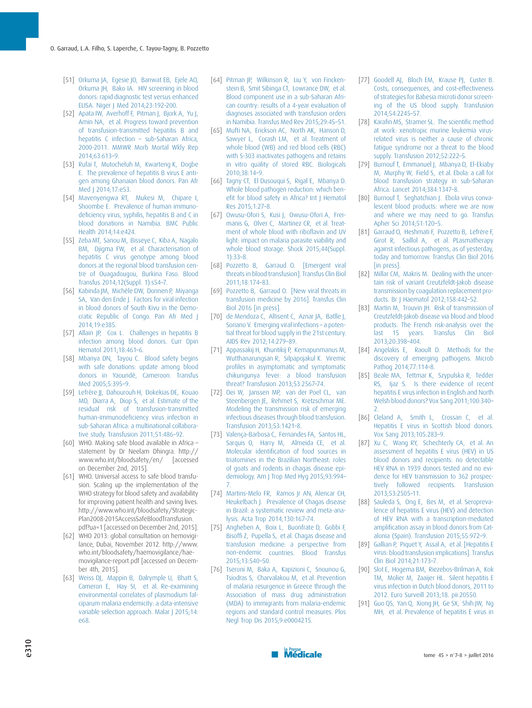- <span id="page-7-0"></span>[51] [Orkuma](http://refhub.elsevier.com/S0755-4982(16)30171-3/sbref0255) JA, Egesie JO, Banwat EB, Ejele AO, Orkuma JH, Bako IA. HIV [screening](http://refhub.elsevier.com/S0755-4982(16)30171-3/sbref0255) in blood donors: rapid [diagnostic](http://refhub.elsevier.com/S0755-4982(16)30171-3/sbref0255) test versus enhanced ELISA. Niger J Med [2014;23:192](http://refhub.elsevier.com/S0755-4982(16)30171-3/sbref0255)–200.
- [52] Apata IW, [Averhoff](http://refhub.elsevier.com/S0755-4982(16)30171-3/sbref0260) F, Pitman J, Bjork A, Yu J, Amin NA, et al. Progress toward [prevention](http://refhub.elsevier.com/S0755-4982(16)30171-3/sbref0260) of [transfusion-transmitted](http://refhub.elsevier.com/S0755-4982(16)30171-3/sbref0260) hepatitis B and hepatitis C infection – [sub-Saharan](http://refhub.elsevier.com/S0755-4982(16)30171-3/sbref0260) Africa, [2000-2011.](http://refhub.elsevier.com/S0755-4982(16)30171-3/sbref0260) MMWR Morb Mortal Wkly Rep [2014;63:613](http://refhub.elsevier.com/S0755-4982(16)30171-3/sbref0260)–9.
- [53] Rufai T, [Mutocheluh](http://refhub.elsevier.com/S0755-4982(16)30171-3/sbref0265) M, Kwarteng K, Dogbe E. The [prevalence](http://refhub.elsevier.com/S0755-4982(16)30171-3/sbref0265) of hepatitis B virus E antigen among [Ghanaian](http://refhub.elsevier.com/S0755-4982(16)30171-3/sbref0265) blood donors. Pan Afr Med | [2014;17:e53](http://refhub.elsevier.com/S0755-4982(16)30171-3/sbref0265).
- [54] [Mavenyengwa](http://refhub.elsevier.com/S0755-4982(16)30171-3/sbref0270) RT, Mukesi M, Chipare I, Shoombe E. [Prevalence](http://refhub.elsevier.com/S0755-4982(16)30171-3/sbref0270) of human immuno[deficiency](http://refhub.elsevier.com/S0755-4982(16)30171-3/sbref0270) virus, syphilis, hepatitis B and C in blood [donations](http://refhub.elsevier.com/S0755-4982(16)30171-3/sbref0270) in Namibia. BMC Public Health [2014;14:e424.](http://refhub.elsevier.com/S0755-4982(16)30171-3/sbref0270)
- [55] Zeba MT, Sanou M, [Bisseye](http://refhub.elsevier.com/S0755-4982(16)30171-3/sbref0275) C, Kiba A, Nagalo BM, Djigma FW, et al. [Characterisation](http://refhub.elsevier.com/S0755-4982(16)30171-3/sbref0275) of hepatitis C virus [genotype](http://refhub.elsevier.com/S0755-4982(16)30171-3/sbref0275) among blood donors at the regional blood [transfusion](http://refhub.elsevier.com/S0755-4982(16)30171-3/sbref0275) centre of [Ouagadougou,](http://refhub.elsevier.com/S0755-4982(16)30171-3/sbref0275) Burkina Faso. Blood Transfus [2014;12\(Suppl.](http://refhub.elsevier.com/S0755-4982(16)30171-3/sbref0275) 1):s54–7.
- [56] Kabinda JM, Michèle DW, Donnen P, [Miyanga](http://refhub.elsevier.com/S0755-4982(16)30171-3/sbref0280) SA, Van den Ende J. Factors for viral [infection](http://refhub.elsevier.com/S0755-4982(16)30171-3/sbref0280) in blood donors of South Kivu in the [Demo](http://refhub.elsevier.com/S0755-4982(16)30171-3/sbref0280)cratic [Republic](http://refhub.elsevier.com/S0755-4982(16)30171-3/sbref0280) of Congo. Pan Afr Med J [2014;19:e385.](http://refhub.elsevier.com/S0755-4982(16)30171-3/sbref0280)
- [57] Allain JP, Cox L. [Challenges](http://refhub.elsevier.com/S0755-4982(16)30171-3/sbref0285) in hepatitis B [infection](http://refhub.elsevier.com/S0755-4982(16)30171-3/sbref0285) among blood donors. Curr Opin Hematol [2011;18:461](http://refhub.elsevier.com/S0755-4982(16)30171-3/sbref0285)–6.
- [58] [Mbanya](http://refhub.elsevier.com/S0755-4982(16)30171-3/sbref0290) DN, Tayou C. Blood safety begins with safe [donations:](http://refhub.elsevier.com/S0755-4982(16)30171-3/sbref0290) update among blood donors in Yaoundé, [Cameroon.](http://refhub.elsevier.com/S0755-4982(16)30171-3/sbref0290) Transfus Med [2005;5:395](http://refhub.elsevier.com/S0755-4982(16)30171-3/sbref0290)–9.
- [59] Lefrère JJ, [Dahourouh](http://refhub.elsevier.com/S0755-4982(16)30171-3/sbref0295) H, Dokekias DE, Kouao MD, Diarra A, Diop S, et al. [Estimate](http://refhub.elsevier.com/S0755-4982(16)30171-3/sbref0295) of the residual risk of [transfusion-transmitted](http://refhub.elsevier.com/S0755-4982(16)30171-3/sbref0295) [human-immunodeficiency](http://refhub.elsevier.com/S0755-4982(16)30171-3/sbref0295) virus infection in sub-Saharan Africa: a [multinational](http://refhub.elsevier.com/S0755-4982(16)30171-3/sbref0295) collaborative study. Transfusion [2011;51:486](http://refhub.elsevier.com/S0755-4982(16)30171-3/sbref0295)–92.
- [60] WHO. Making safe blood available in Africa statement by Dr Neelam Dhingra. http:// www.who.int/bloodsafety/en/ [accessed on December 2nd, 2015].
- [61] WHO. Universal access to safe blood transfusion. Scaling up the implementation of the WHO strategy for blood safety and availability for improving patient health and saving lives. http://www.who.int/bloodsafety/Strategic-Plan2008-2015AccessSafeBloodTransfusion. pdf?ua=1 [accessed on December 2nd, 2015].
- [62] WHO 2013: global consultation on hemovigilance, Dubai, November 2012. http://www. who.int/bloodsafety/haemovigilance/haemovigilance-report.pdf [accessed on December 4th, 2015].
- [63] Weiss DJ, Mappin B, [Dalrymple](http://refhub.elsevier.com/S0755-4982(16)30171-3/sbref0315) U, Bhatt S, Cameron E, Hay SI, et al. [Re-examining](http://refhub.elsevier.com/S0755-4982(16)30171-3/sbref0315) [environmental](http://refhub.elsevier.com/S0755-4982(16)30171-3/sbref0315) correlates of plasmodium falciparum malaria endemicity: a [data-intensive](http://refhub.elsevier.com/S0755-4982(16)30171-3/sbref0315) variable selection [approach.](http://refhub.elsevier.com/S0755-4982(16)30171-3/sbref0315) Malar J 2015;14: [e68](http://refhub.elsevier.com/S0755-4982(16)30171-3/sbref0315).
- [64] Pitman JP, [Wilkinson](http://refhub.elsevier.com/S0755-4982(16)30171-3/sbref0320) R, Liu Y, von Finckenstein B, Smit Sibinga CT, [Lowrance](http://refhub.elsevier.com/S0755-4982(16)30171-3/sbref0320) DW, et al. Blood component use in a [sub-Saharan](http://refhub.elsevier.com/S0755-4982(16)30171-3/sbref0320) African country: results of a 4-year [evaluation](http://refhub.elsevier.com/S0755-4982(16)30171-3/sbref0320) of diagnoses associated with [transfusion](http://refhub.elsevier.com/S0755-4982(16)30171-3/sbref0320) orders in Namibia. Transfus Med Rev [2015;29:45](http://refhub.elsevier.com/S0755-4982(16)30171-3/sbref0320)–51.
- [65] Mufti NA, [Erickson](http://refhub.elsevier.com/S0755-4982(16)30171-3/sbref0325) AC, North AK, Hanson D, Sawyer L, Corash LM, et al. [Treatment](http://refhub.elsevier.com/S0755-4982(16)30171-3/sbref0325) of [whole](http://refhub.elsevier.com/S0755-4982(16)30171-3/sbref0325) blood (WB) and red blood cells (RBC) with S-303 [inactivates](http://refhub.elsevier.com/S0755-4982(16)30171-3/sbref0325) pathogens and retains in vitro quality of stored RBC. [Biologicals](http://refhub.elsevier.com/S0755-4982(16)30171-3/sbref0325) [2010;38:14](http://refhub.elsevier.com/S0755-4982(16)30171-3/sbref0325)–9.
- [66] Tagny CT, El [Dusouqui](http://refhub.elsevier.com/S0755-4982(16)30171-3/sbref0330) S, Rigal E, Mbanya D. Whole blood pathogen [reduction:](http://refhub.elsevier.com/S0755-4982(16)30171-3/sbref0330) which benefit for blood safety in Africa? Int J [Hematol](http://refhub.elsevier.com/S0755-4982(16)30171-3/sbref0330) Res [2015;1:27](http://refhub.elsevier.com/S0755-4982(16)30171-3/sbref0330)–8.
- [67] [Owusu-Ofori](http://refhub.elsevier.com/S0755-4982(16)30171-3/sbref0335) S, Kusi J, Owusu-Ofori A, Freimanis G, Olver C, [Martinez](http://refhub.elsevier.com/S0755-4982(16)30171-3/sbref0335) CR, et al. Treatment of whole blood with [riboflavin](http://refhub.elsevier.com/S0755-4982(16)30171-3/sbref0335) and UV light: impact on malaria [parasite](http://refhub.elsevier.com/S0755-4982(16)30171-3/sbref0335) viability and whole blood storage. Shock [2015;44\(Suppl.](http://refhub.elsevier.com/S0755-4982(16)30171-3/sbref0335) [1\):33](http://refhub.elsevier.com/S0755-4982(16)30171-3/sbref0335)–8.
- [68] Pozzetto B, Garraud O. [\[Emergent](http://refhub.elsevier.com/S0755-4982(16)30171-3/sbref0340) viral threats in blood [transfusion\].](http://refhub.elsevier.com/S0755-4982(16)30171-3/sbref0340) Transfus Clin Biol [2011;18:174](http://refhub.elsevier.com/S0755-4982(16)30171-3/sbref0340)–83.
- [69] [Pozzetto](http://refhub.elsevier.com/S0755-4982(16)30171-3/sbref0345) B, Garraud O. [New viral threats in [transfusion](http://refhub.elsevier.com/S0755-4982(16)30171-3/sbref0345) medicine by 2016]. Transfus Clin Biol 2016 [in [press\].](http://refhub.elsevier.com/S0755-4982(16)30171-3/sbref0345)
- [70] de [Mendoza](http://refhub.elsevier.com/S0755-4982(16)30171-3/sbref0350) C, Altisent C, Aznar JA, Batlle J, Soriano V. Emerging viral [infections](http://refhub.elsevier.com/S0755-4982(16)30171-3/sbref0350)– a potential threat for blood supply in the 21st [century.](http://refhub.elsevier.com/S0755-4982(16)30171-3/sbref0350) AIDS Rev [2012;14:279](http://refhub.elsevier.com/S0755-4982(16)30171-3/sbref0350)–89.
- [71] Appassakij H, Khuntikij P, [Kemapunmanus](http://refhub.elsevier.com/S0755-4982(16)30171-3/sbref0355) M, [Wutthanarungsan](http://refhub.elsevier.com/S0755-4982(16)30171-3/sbref0355) R, Silpapojakul K. Viremic profiles in [asymptomatic](http://refhub.elsevier.com/S0755-4982(16)30171-3/sbref0355) and symptomatic [chikungunya](http://refhub.elsevier.com/S0755-4982(16)30171-3/sbref0355) fever: a blood transfusion threat? Transfusion [2013;53:2567](http://refhub.elsevier.com/S0755-4982(16)30171-3/sbref0355)–74.
- [72] Oei W, [Janssen](http://refhub.elsevier.com/S0755-4982(16)30171-3/sbref0360) MP, van der Poel CL, van [Steenbergen](http://refhub.elsevier.com/S0755-4982(16)30171-3/sbref0360) JE, Rehmet S, Kretzschmar ME. Modeling the [transmission](http://refhub.elsevier.com/S0755-4982(16)30171-3/sbref0360) risk of emerging infectious diseases through blood [transfusion.](http://refhub.elsevier.com/S0755-4982(16)30171-3/sbref0360) Transfusion [2013;53:1421](http://refhub.elsevier.com/S0755-4982(16)30171-3/sbref0360)–8.
- [73] [Valença-Barbosa](http://refhub.elsevier.com/S0755-4982(16)30171-3/sbref0365) C, Fernandes FA, Santos HL, Sarquis O, Harry M, [Almeida](http://refhub.elsevier.com/S0755-4982(16)30171-3/sbref0365) CE, et al. Molecular [identification](http://refhub.elsevier.com/S0755-4982(16)30171-3/sbref0365) of food sources in [triatomines](http://refhub.elsevier.com/S0755-4982(16)30171-3/sbref0365) in the Brazilian Northeast: roles of goats and [rodents](http://refhub.elsevier.com/S0755-4982(16)30171-3/sbref0365) in chagas disease epidemiology. Am J Trop Med Hyg [2015;93:994](http://refhub.elsevier.com/S0755-4982(16)30171-3/sbref0365)– [7](http://refhub.elsevier.com/S0755-4982(16)30171-3/sbref0365).
- [74] [Martins-Melo](http://refhub.elsevier.com/S0755-4982(16)30171-3/sbref0370) FR, Ramos Jr AN, Alencar CH, [Heukelbach](http://refhub.elsevier.com/S0755-4982(16)30171-3/sbref0370) J. Prevalence of Chagas disease in Brazil: a [systematic](http://refhub.elsevier.com/S0755-4982(16)30171-3/sbref0370) review and meta-analysis. Acta Trop [2014;130:167](http://refhub.elsevier.com/S0755-4982(16)30171-3/sbref0370)–74.
- [75] [Angheben](http://refhub.elsevier.com/S0755-4982(16)30171-3/sbref0375) A, Boix L, Buonfrate D, Gobbi F, Bisoffi Z, Pupella S, et al. Chagas [disease](http://refhub.elsevier.com/S0755-4982(16)30171-3/sbref0375) and transfusion medicine: a [perspective](http://refhub.elsevier.com/S0755-4982(16)30171-3/sbref0375) from [non-endemic](http://refhub.elsevier.com/S0755-4982(16)30171-3/sbref0375) countries. Blood Transfus [2015;13:540](http://refhub.elsevier.com/S0755-4982(16)30171-3/sbref0375)–50.
- [76] Tseroni M, Baka A, [Kapizioni](http://refhub.elsevier.com/S0755-4982(16)30171-3/sbref0380) C, Snounou G, Tsiodras S, [Charvalakou](http://refhub.elsevier.com/S0755-4982(16)30171-3/sbref0380) M, et al. Prevention of malaria [resurgence](http://refhub.elsevier.com/S0755-4982(16)30171-3/sbref0380) in Greece through the Association of mass drug [administration](http://refhub.elsevier.com/S0755-4982(16)30171-3/sbref0380) (MDA) to immigrants from [malaria-endemic](http://refhub.elsevier.com/S0755-4982(16)30171-3/sbref0380) regions and standard control [measures.](http://refhub.elsevier.com/S0755-4982(16)30171-3/sbref0380) Plos Negl Trop Dis [2015;9:e0004215](http://refhub.elsevier.com/S0755-4982(16)30171-3/sbref0380).
- [77] [Goodell](http://refhub.elsevier.com/S0755-4982(16)30171-3/sbref0385) AJ, Bloch EM, Krause PJ, Custer B. Costs, consequences, and [cost-effectiveness](http://refhub.elsevier.com/S0755-4982(16)30171-3/sbref0385) of strategies for Babesia microti donor screening of the US blood supply. [Transfusion](http://refhub.elsevier.com/S0755-4982(16)30171-3/sbref0385) [2014;54:2245](http://refhub.elsevier.com/S0755-4982(16)30171-3/sbref0385)–57.
- [78] Karafin MS, Stramer SL. The [scientific](http://refhub.elsevier.com/S0755-4982(16)30171-3/sbref0390) method at work: [xenotropic](http://refhub.elsevier.com/S0755-4982(16)30171-3/sbref0390) murine leukemia virusrelated virus is neither a cause of [chronic](http://refhub.elsevier.com/S0755-4982(16)30171-3/sbref0390) fatigue [syndrome](http://refhub.elsevier.com/S0755-4982(16)30171-3/sbref0390) nor a threat to the blood supply. Transfusion [2012;52:222](http://refhub.elsevier.com/S0755-4982(16)30171-3/sbref0390)–5.
- [79] Burnouf T, [Emmanuel](http://refhub.elsevier.com/S0755-4982(16)30171-3/sbref0395) J, Mbanya D, El-Ekiaby M, [Murphy](http://refhub.elsevier.com/S0755-4982(16)30171-3/sbref0395) W, Field S, et al. Ebola: a call for blood transfusion strategy in [sub-Saharan](http://refhub.elsevier.com/S0755-4982(16)30171-3/sbref0395) Africa. Lancet [2014;384:1347](http://refhub.elsevier.com/S0755-4982(16)30171-3/sbref0395)–8.
- [80] Burnouf T, [Seghatchian](http://refhub.elsevier.com/S0755-4982(16)30171-3/sbref0400) J. Ebola virus convalescent blood [products:](http://refhub.elsevier.com/S0755-4982(16)30171-3/sbref0400) where we are now and where we may need to go. [Transfus](http://refhub.elsevier.com/S0755-4982(16)30171-3/sbref0400) Apher Sci [2014;51:120](http://refhub.elsevier.com/S0755-4982(16)30171-3/sbref0400)–5.
- [81] Garraud O, [Heshmati](http://refhub.elsevier.com/S0755-4982(16)30171-3/sbref0405) F, Pozzetto B, Lefrère F, Girot R, Saillol A, et al. [PLasmatherapy](http://refhub.elsevier.com/S0755-4982(16)30171-3/sbref0405) against infectious [pathogens,](http://refhub.elsevier.com/S0755-4982(16)30171-3/sbref0405) as of yesterday, today and [tomorrow.](http://refhub.elsevier.com/S0755-4982(16)30171-3/sbref0405) Transfus Clin Biol 2016 [in [press\].](http://refhub.elsevier.com/S0755-4982(16)30171-3/sbref0405)
- [82] Millar CM, Makris M. [Dealing](http://refhub.elsevier.com/S0755-4982(16)30171-3/sbref0410) with the uncertain risk of variant [Creutzfeldt-Jakob](http://refhub.elsevier.com/S0755-4982(16)30171-3/sbref0410) disease transmission by coagulation [replacement](http://refhub.elsevier.com/S0755-4982(16)30171-3/sbref0410) products. Br J Haematol [2012;158:442](http://refhub.elsevier.com/S0755-4982(16)30171-3/sbref0410)–52.
- [83] Martin M, Trouvin JH. Risk of [transmission](http://refhub.elsevier.com/S0755-4982(16)30171-3/sbref0415) of [Creutzfeldt-Jakob](http://refhub.elsevier.com/S0755-4982(16)30171-3/sbref0415) disease via blood and blood products. The French [risk-analysis](http://refhub.elsevier.com/S0755-4982(16)30171-3/sbref0415) over the last 15 years. [Transfus](http://refhub.elsevier.com/S0755-4982(16)30171-3/sbref0415) Clin Biol [2013;20:398](http://refhub.elsevier.com/S0755-4982(16)30171-3/sbref0415)–404.
- [84] [Angelakis](http://refhub.elsevier.com/S0755-4982(16)30171-3/sbref0420) E, Raoult D. Methods for the discovery of emerging [pathogens.](http://refhub.elsevier.com/S0755-4982(16)30171-3/sbref0420) Microb Pathog [2014;77:114](http://refhub.elsevier.com/S0755-4982(16)30171-3/sbref0420)–8.
- [85] Beale MA, Tettmar K, [Szypulska](http://refhub.elsevier.com/S0755-4982(16)30171-3/sbref0425) R, Tedder RS, Ijaz S. Is there [evidence](http://refhub.elsevier.com/S0755-4982(16)30171-3/sbref0425) of recent hepatitis E virus [infection](http://refhub.elsevier.com/S0755-4982(16)30171-3/sbref0425) in English and North Welsh blood donors? Vox Sang [2011;100:340](http://refhub.elsevier.com/S0755-4982(16)30171-3/sbref0425)– [2](http://refhub.elsevier.com/S0755-4982(16)30171-3/sbref0425).
- [86] Cleland A, Smith L, [Crossan](http://refhub.elsevier.com/S0755-4982(16)30171-3/sbref0430) C, et al. [Hepatitis](http://refhub.elsevier.com/S0755-4982(16)30171-3/sbref0430) E virus in Scottish blood donors. Vox Sang [2013;105:283](http://refhub.elsevier.com/S0755-4982(16)30171-3/sbref0430)–9.
- [87] Xu C, Wang RY, [Schechterly](http://refhub.elsevier.com/S0755-4982(16)30171-3/sbref0435) CA, et al. An [assessment](http://refhub.elsevier.com/S0755-4982(16)30171-3/sbref0435) of hepatitis E virus (HEV) in US blood donors and recipients: no [detectable](http://refhub.elsevier.com/S0755-4982(16)30171-3/sbref0435) HEV RNA in 1939 [donors](http://refhub.elsevier.com/S0755-4982(16)30171-3/sbref0435) tested and no evidence for HEV [transmission](http://refhub.elsevier.com/S0755-4982(16)30171-3/sbref0435) to 362 prospectively followed recipients. [Transfusion](http://refhub.elsevier.com/S0755-4982(16)30171-3/sbref0435) [2013;53:2505](http://refhub.elsevier.com/S0755-4982(16)30171-3/sbref0435)–11.
- [88] Sauleda S, Ong E, Bes M, et al. [Seropreva](http://refhub.elsevier.com/S0755-4982(16)30171-3/sbref0440)lence of hepatitis E virus (HEV) and [detection](http://refhub.elsevier.com/S0755-4982(16)30171-3/sbref0440) of HEV RNA with a [transcription-mediated](http://refhub.elsevier.com/S0755-4982(16)30171-3/sbref0440) [amplification](http://refhub.elsevier.com/S0755-4982(16)30171-3/sbref0440) assay in blood donors from Catalonia (Spain). Transfusion [2015;55:972](http://refhub.elsevier.com/S0755-4982(16)30171-3/sbref0440)–9.
- [89] Gallian P, Piquet Y, Assal A, et al. [\[Hepatitis](http://refhub.elsevier.com/S0755-4982(16)30171-3/sbref0445) E virus: blood transfusion [implications\].](http://refhub.elsevier.com/S0755-4982(16)30171-3/sbref0445) Transfus Clin Biol [2014;21:173](http://refhub.elsevier.com/S0755-4982(16)30171-3/sbref0445)–7.
- [90] Slot E, Hogema BM, [Riezebos-Brilman](http://refhub.elsevier.com/S0755-4982(16)30171-3/sbref0450) A, Kok TM, Molier M, Zaaijer HL. Silent [hepatitis](http://refhub.elsevier.com/S0755-4982(16)30171-3/sbref0450) E virus [infection](http://refhub.elsevier.com/S0755-4982(16)30171-3/sbref0450) in Dutch blood donors, 2011 to 2012. Euro Surveill 2013;18. [pii:20550](http://refhub.elsevier.com/S0755-4982(16)30171-3/sbref0450).
- [91] Guo QS, Yan Q, [Xiong](http://refhub.elsevier.com/S0755-4982(16)30171-3/sbref0455) JH, Ge SX, Shih JW, Ng MH, et al. [Prevalence](http://refhub.elsevier.com/S0755-4982(16)30171-3/sbref0455) of hepatitis E virus in